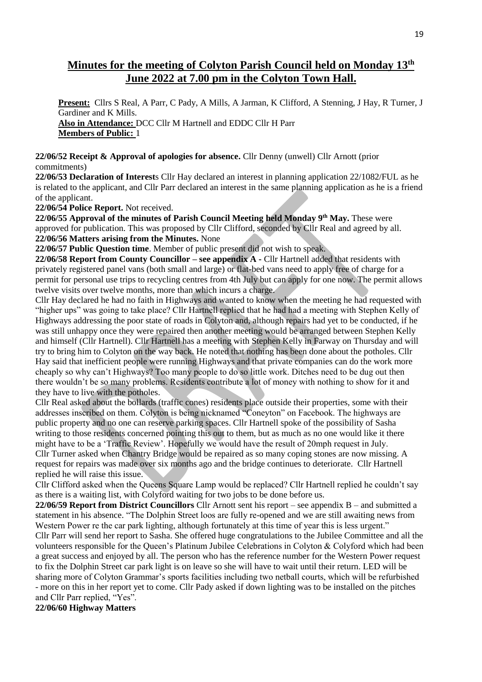# **Minutes for the meeting of Colyton Parish Council held on Monday 13th June 2022 at 7.00 pm in the Colyton Town Hall.**

**Present:** Cllrs S Real, A Parr, C Pady, A Mills, A Jarman, K Clifford, A Stenning, J Hay, R Turner, J Gardiner and K Mills. **Also in Attendance:** DCC Cllr M Hartnell and EDDC Cllr H Parr **Members of Public:** 1

#### **22/06/52 Receipt & Approval of apologies for absence.** Cllr Denny (unwell) Cllr Arnott (prior commitments)

**22/06/53 Declaration of Interest**s Cllr Hay declared an interest in planning application 22/1082/FUL as he is related to the applicant, and Cllr Parr declared an interest in the same planning application as he is a friend of the applicant.

**22/06/54 Police Report.** Not received.

**22/06/55 Approval of the minutes of Parish Council Meeting held Monday 9th May.** These were approved for publication. This was proposed by Cllr Clifford, seconded by Cllr Real and agreed by all. **22/06/56 Matters arising from the Minutes.** None

**22/06/57 Public Question time**. Member of public present did not wish to speak.

**22/06/58 Report from County Councillor – see appendix A -** Cllr Hartnell added that residents with privately registered panel vans (both small and large) or flat-bed vans need to apply free of charge for a permit for personal use trips to recycling centres from 4th July but can apply for one now. The permit allows twelve visits over twelve months, more than which incurs a charge.

Cllr Hay declared he had no faith in Highways and wanted to know when the meeting he had requested with "higher ups" was going to take place? Cllr Hartnell replied that he had had a meeting with Stephen Kelly of Highways addressing the poor state of roads in Colyton and, although repairs had yet to be conducted, if he was still unhappy once they were repaired then another meeting would be arranged between Stephen Kelly and himself (Cllr Hartnell). Cllr Hartnell has a meeting with Stephen Kelly in Farway on Thursday and will try to bring him to Colyton on the way back. He noted that nothing has been done about the potholes. Cllr Hay said that inefficient people were running Highways and that private companies can do the work more cheaply so why can't Highways? Too many people to do so little work. Ditches need to be dug out then there wouldn't be so many problems. Residents contribute a lot of money with nothing to show for it and they have to live with the potholes.

Cllr Real asked about the bollards (traffic cones) residents place outside their properties, some with their addresses inscribed on them. Colyton is being nicknamed "Coneyton" on Facebook. The highways are public property and no one can reserve parking spaces. Cllr Hartnell spoke of the possibility of Sasha writing to those residents concerned pointing this out to them, but as much as no one would like it there might have to be a 'Traffic Review'. Hopefully we would have the result of 20mph request in July. Cllr Turner asked when Chantry Bridge would be repaired as so many coping stones are now missing. A request for repairs was made over six months ago and the bridge continues to deteriorate. Cllr Hartnell replied he will raise this issue.

Cllr Clifford asked when the Queens Square Lamp would be replaced? Cllr Hartnell replied he couldn't say as there is a waiting list, with Colyford waiting for two jobs to be done before us.

**22/06/59 Report from District Councillors** Cllr Arnott sent his report – see appendix B – and submitted a statement in his absence. "The Dolphin Street loos are fully re-opened and we are still awaiting news from Western Power re the car park lighting, although fortunately at this time of year this is less urgent." Cllr Parr will send her report to Sasha. She offered huge congratulations to the Jubilee Committee and all the volunteers responsible for the Queen's Platinum Jubilee Celebrations in Colyton & Colyford which had been a great success and enjoyed by all. The person who has the reference number for the Western Power request to fix the Dolphin Street car park light is on leave so she will have to wait until their return. LED will be sharing more of Colyton Grammar's sports facilities including two netball courts, which will be refurbished - more on this in her report yet to come. Cllr Pady asked if down lighting was to be installed on the pitches and Cllr Parr replied, "Yes".

**22/06/60 Highway Matters**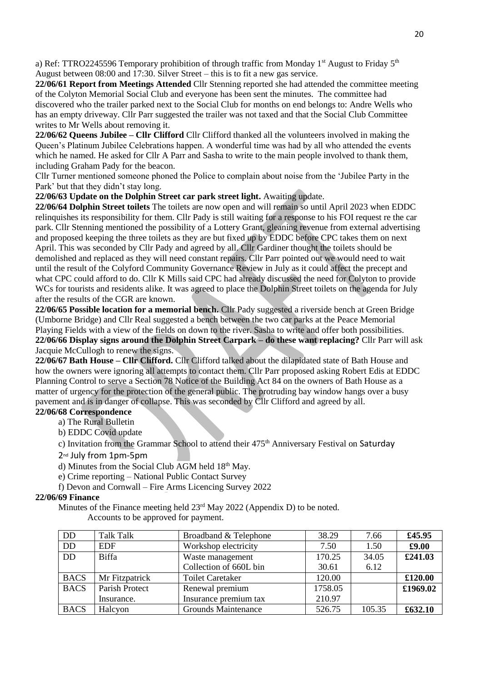a) Ref: TTRO2245596 Temporary prohibition of through traffic from Monday 1<sup>st</sup> August to Friday 5<sup>th</sup> August between 08:00 and 17:30. Silver Street – this is to fit a new gas service.

**22/06/61 Report from Meetings Attended** Cllr Stenning reported she had attended the committee meeting of the Colyton Memorial Social Club and everyone has been sent the minutes. The committee had discovered who the trailer parked next to the Social Club for months on end belongs to: Andre Wells who has an empty driveway. Cllr Parr suggested the trailer was not taxed and that the Social Club Committee writes to Mr Wells about removing it.

**22/06/62 Queens Jubilee – Cllr Clifford** Cllr Clifford thanked all the volunteers involved in making the Queen's Platinum Jubilee Celebrations happen. A wonderful time was had by all who attended the events which he named. He asked for Cllr A Parr and Sasha to write to the main people involved to thank them, including Graham Pady for the beacon.

Cllr Turner mentioned someone phoned the Police to complain about noise from the 'Jubilee Party in the Park' but that they didn't stay long.

**22/06/63 Update on the Dolphin Street car park street light.** Awaiting update.

**22/06/64 Dolphin Street toilets** The toilets are now open and will remain so until April 2023 when EDDC relinquishes its responsibility for them. Cllr Pady is still waiting for a response to his FOI request re the car park. Cllr Stenning mentioned the possibility of a Lottery Grant, gleaning revenue from external advertising and proposed keeping the three toilets as they are but fixed up by EDDC before CPC takes them on next April. This was seconded by Cllr Pady and agreed by all. Cllr Gardiner thought the toilets should be demolished and replaced as they will need constant repairs. Cllr Parr pointed out we would need to wait until the result of the Colyford Community Governance Review in July as it could affect the precept and what CPC could afford to do. Cllr K Mills said CPC had already discussed the need for Colyton to provide WCs for tourists and residents alike. It was agreed to place the Dolphin Street toilets on the agenda for July after the results of the CGR are known.

**22/06/65 Possible location for a memorial bench.** Cllr Pady suggested a riverside bench at Green Bridge (Umborne Bridge) and Cllr Real suggested a bench between the two car parks at the Peace Memorial Playing Fields with a view of the fields on down to the river. Sasha to write and offer both possibilities. **22/06/66 Display signs around the Dolphin Street Carpark – do these want replacing?** Cllr Parr will ask Jacquie McCullogh to renew the signs.

**22/06/67 Bath House – Cllr Clifford.** Cllr Clifford talked about the dilapidated state of Bath House and how the owners were ignoring all attempts to contact them. Cllr Parr proposed asking Robert Edis at EDDC Planning Control to serve a Section 78 Notice of the Building Act 84 on the owners of Bath House as a matter of urgency for the protection of the general public. The protruding bay window hangs over a busy pavement and is in danger of collapse. This was seconded by Cllr Clifford and agreed by all.

# **22/06/68 Correspondence**

- a) The Rural Bulletin
- b) EDDC Covid update
- c) Invitation from the Grammar School to attend their 475<sup>th</sup> Anniversary Festival on Saturday
- 2nd July from 1pm-5pm
- d) Minutes from the Social Club AGM held 18<sup>th</sup> May.
- e) Crime reporting National Public Contact Survey
- f) Devon and Cornwall Fire Arms Licencing Survey 2022

#### **22/06/69 Finance**

Minutes of the Finance meeting held  $23<sup>rd</sup>$  May 2022 (Appendix D) to be noted.

Accounts to be approved for payment.

| <b>DD</b>       | <b>Talk Talk</b> | Broadband & Telephone      | 38.29   | 7.66   | £45.95   |
|-----------------|------------------|----------------------------|---------|--------|----------|
| <b>DD</b>       | <b>EDF</b>       | Workshop electricity       | 7.50    | 1.50   | £9.00    |
| $\overline{DD}$ | <b>Biffa</b>     | Waste management           | 170.25  | 34.05  | £241.03  |
|                 |                  | Collection of 660L bin     | 30.61   | 6.12   |          |
| <b>BACS</b>     | Mr Fitzpatrick   | <b>Toilet Caretaker</b>    | 120.00  |        | £120.00  |
| <b>BACS</b>     | Parish Protect   | Renewal premium            | 1758.05 |        | £1969.02 |
|                 | Insurance.       | Insurance premium tax      | 210.97  |        |          |
| <b>BACS</b>     | Halcyon          | <b>Grounds Maintenance</b> | 526.75  | 105.35 | £632.10  |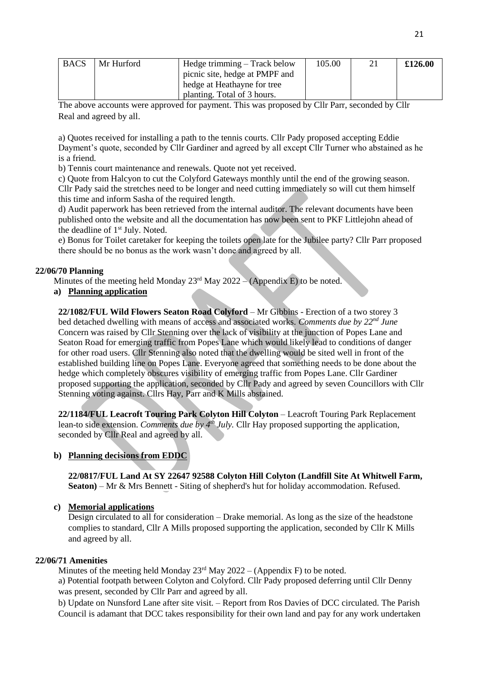| <b>BACS</b> | Mr Hurford | Hedge trimming – Track below   | 105.00 | £126.00 |
|-------------|------------|--------------------------------|--------|---------|
|             |            | picnic site, hedge at PMPF and |        |         |
|             |            | hedge at Heathayne for tree    |        |         |
|             |            | planting. Total of 3 hours.    |        |         |

The above accounts were approved for payment. This was proposed by Cllr Parr, seconded by Cllr Real and agreed by all.

a) Quotes received for installing a path to the tennis courts. Cllr Pady proposed accepting Eddie Dayment's quote, seconded by Cllr Gardiner and agreed by all except Cllr Turner who abstained as he is a friend.

b) Tennis court maintenance and renewals. Quote not yet received.

c) Quote from Halcyon to cut the Colyford Gateways monthly until the end of the growing season. Cllr Pady said the stretches need to be longer and need cutting immediately so will cut them himself this time and inform Sasha of the required length.

d) Audit paperwork has been retrieved from the internal auditor. The relevant documents have been published onto the website and all the documentation has now been sent to PKF Littlejohn ahead of the deadline of 1st July. Noted.

e) Bonus for Toilet caretaker for keeping the toilets open late for the Jubilee party? Cllr Parr proposed there should be no bonus as the work wasn't done and agreed by all.

#### **22/06/70 Planning**

Minutes of the meeting held Monday  $23^{rd}$  May  $2022 - (Appendix E)$  to be noted.

#### **a) Planning application**

**22/1082/FUL Wild Flowers Seaton Road Colyford** – Mr Gibbins - Erection of a two storey 3 bed detached dwelling with means of access and associated works. *Comments due by 22nd June* Concern was raised by Cllr Stenning over the lack of visibility at the junction of Popes Lane and Seaton Road for emerging traffic from Popes Lane which would likely lead to conditions of danger for other road users. Cllr Stenning also noted that the dwelling would be sited well in front of the established building line on Popes Lane. Everyone agreed that something needs to be done about the hedge which completely obscures visibility of emerging traffic from Popes Lane. Cllr Gardiner proposed supporting the application, seconded by Cllr Pady and agreed by seven Councillors with Cllr Stenning voting against. Cllrs Hay, Parr and K Mills abstained.

**22/1184/FUL Leacroft Touring Park Colyton Hill Colyton** – Leacroft Touring Park Replacement lean-to side extension. *Comments due by 4th July.* Cllr Hay proposed supporting the application, seconded by Cllr Real and agreed by all.

#### **b) Planning decisions from EDDC**

**22/0817/FUL Land At SY 22647 92588 Colyton Hill Colyton (Landfill Site At Whitwell Farm, Seaton)** – Mr & Mrs Bennett - Siting of shepherd's hut for holiday accommodation. Refused.

#### **c) Memorial applications**

Design circulated to all for consideration – Drake memorial. As long as the size of the headstone complies to standard, Cllr A Mills proposed supporting the application, seconded by Cllr K Mills and agreed by all.

#### **22/06/71 Amenities**

Minutes of the meeting held Monday  $23<sup>rd</sup>$  May  $2022 - (Appendix F)$  to be noted.

a) Potential footpath between Colyton and Colyford. Cllr Pady proposed deferring until Cllr Denny was present, seconded by Cllr Parr and agreed by all.

b) Update on Nunsford Lane after site visit. – Report from Ros Davies of DCC circulated. The Parish Council is adamant that DCC takes responsibility for their own land and pay for any work undertaken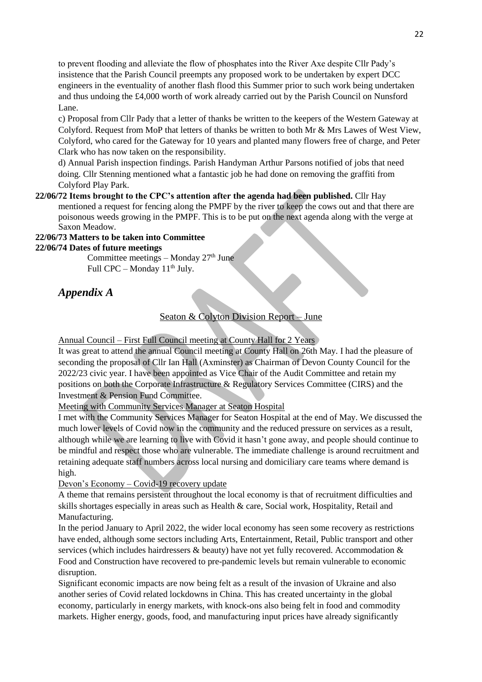to prevent flooding and alleviate the flow of phosphates into the River Axe despite Cllr Pady's insistence that the Parish Council preempts any proposed work to be undertaken by expert DCC engineers in the eventuality of another flash flood this Summer prior to such work being undertaken and thus undoing the £4,000 worth of work already carried out by the Parish Council on Nunsford Lane.

c) Proposal from Cllr Pady that a letter of thanks be written to the keepers of the Western Gateway at Colyford. Request from MoP that letters of thanks be written to both Mr & Mrs Lawes of West View, Colyford, who cared for the Gateway for 10 years and planted many flowers free of charge, and Peter Clark who has now taken on the responsibility.

d) Annual Parish inspection findings. Parish Handyman Arthur Parsons notified of jobs that need doing. Cllr Stenning mentioned what a fantastic job he had done on removing the graffiti from Colyford Play Park.

#### **22/06/72 Items brought to the CPC's attention after the agenda had been published.** Cllr Hay mentioned a request for fencing along the PMPF by the river to keep the cows out and that there are

poisonous weeds growing in the PMPF. This is to be put on the next agenda along with the verge at Saxon Meadow.

# **22/06/73 Matters to be taken into Committee**

**22/06/74 Dates of future meetings** 

Committee meetings – Monday  $27<sup>th</sup>$  June Full CPC – Monday  $11<sup>th</sup>$  July.

# *Appendix A*

# Seaton & Colyton Division Report – June

Annual Council – First Full Council meeting at County Hall for 2 Years

It was great to attend the annual Council meeting at County Hall on 26th May. I had the pleasure of seconding the proposal of Cllr Ian Hall (Axminster) as Chairman of Devon County Council for the 2022/23 civic year. I have been appointed as Vice Chair of the Audit Committee and retain my positions on both the Corporate Infrastructure & Regulatory Services Committee (CIRS) and the Investment & Pension Fund Committee.

## Meeting with Community Services Manager at Seaton Hospital

I met with the Community Services Manager for Seaton Hospital at the end of May. We discussed the much lower levels of Covid now in the community and the reduced pressure on services as a result, although while we are learning to live with Covid it hasn't gone away, and people should continue to be mindful and respect those who are vulnerable. The immediate challenge is around recruitment and retaining adequate staff numbers across local nursing and domiciliary care teams where demand is high.

## Devon's Economy – Covid-19 recovery update

A theme that remains persistent throughout the local economy is that of recruitment difficulties and skills shortages especially in areas such as Health & care, Social work, Hospitality, Retail and Manufacturing.

In the period January to April 2022, the wider local economy has seen some recovery as restrictions have ended, although some sectors including Arts, Entertainment, Retail, Public transport and other services (which includes hairdressers & beauty) have not yet fully recovered. Accommodation & Food and Construction have recovered to pre-pandemic levels but remain vulnerable to economic disruption.

Significant economic impacts are now being felt as a result of the invasion of Ukraine and also another series of Covid related lockdowns in China. This has created uncertainty in the global economy, particularly in energy markets, with knock-ons also being felt in food and commodity markets. Higher energy, goods, food, and manufacturing input prices have already significantly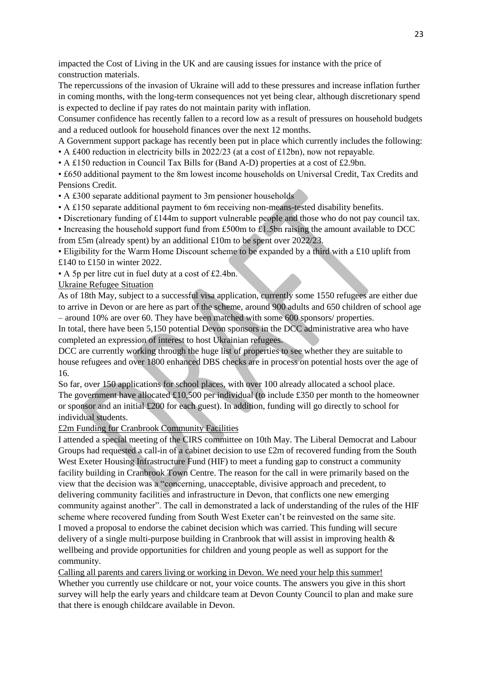impacted the Cost of Living in the UK and are causing issues for instance with the price of construction materials.

The repercussions of the invasion of Ukraine will add to these pressures and increase inflation further in coming months, with the long-term consequences not yet being clear, although discretionary spend is expected to decline if pay rates do not maintain parity with inflation.

Consumer confidence has recently fallen to a record low as a result of pressures on household budgets and a reduced outlook for household finances over the next 12 months.

A Government support package has recently been put in place which currently includes the following: • A £400 reduction in electricity bills in 2022/23 (at a cost of £12bn), now not repayable.

• A £150 reduction in Council Tax Bills for (Band A-D) properties at a cost of £2.9bn.

• £650 additional payment to the 8m lowest income households on Universal Credit, Tax Credits and Pensions Credit.

• A £300 separate additional payment to 3m pensioner households

- A £150 separate additional payment to 6m receiving non-means-tested disability benefits.
- Discretionary funding of £144m to support vulnerable people and those who do not pay council tax.

• Increasing the household support fund from £500m to £1.5bn raising the amount available to DCC

from £5m (already spent) by an additional £10m to be spent over 2022/23.

• Eligibility for the Warm Home Discount scheme to be expanded by a third with a £10 uplift from £140 to £150 in winter 2022.

• A 5p per litre cut in fuel duty at a cost of £2.4bn.

Ukraine Refugee Situation

As of 18th May, subject to a successful visa application, currently some 1550 refugees are either due to arrive in Devon or are here as part of the scheme, around 900 adults and 650 children of school age – around 10% are over 60. They have been matched with some 600 sponsors/ properties.

In total, there have been 5,150 potential Devon sponsors in the DCC administrative area who have completed an expression of interest to host Ukrainian refugees.

DCC are currently working through the huge list of properties to see whether they are suitable to house refugees and over 1800 enhanced DBS checks are in process on potential hosts over the age of 16.

So far, over 150 applications for school places, with over 100 already allocated a school place. The government have allocated £10,500 per individual (to include £350 per month to the homeowner or sponsor and an initial £200 for each guest). In addition, funding will go directly to school for individual students.

## £2m Funding for Cranbrook Community Facilities

I attended a special meeting of the CIRS committee on 10th May. The Liberal Democrat and Labour Groups had requested a call-in of a cabinet decision to use £2m of recovered funding from the South West Exeter Housing Infrastructure Fund (HIF) to meet a funding gap to construct a community facility building in Cranbrook Town Centre. The reason for the call in were primarily based on the view that the decision was a "concerning, unacceptable, divisive approach and precedent, to delivering community facilities and infrastructure in Devon, that conflicts one new emerging community against another". The call in demonstrated a lack of understanding of the rules of the HIF scheme where recovered funding from South West Exeter can't be reinvested on the same site. I moved a proposal to endorse the cabinet decision which was carried. This funding will secure delivery of a single multi-purpose building in Cranbrook that will assist in improving health & wellbeing and provide opportunities for children and young people as well as support for the community.

Calling all parents and carers living or working in Devon. We need your help this summer! Whether you currently use childcare or not, your voice counts. The answers you give in this short survey will help the early years and childcare team at Devon County Council to plan and make sure that there is enough childcare available in Devon.